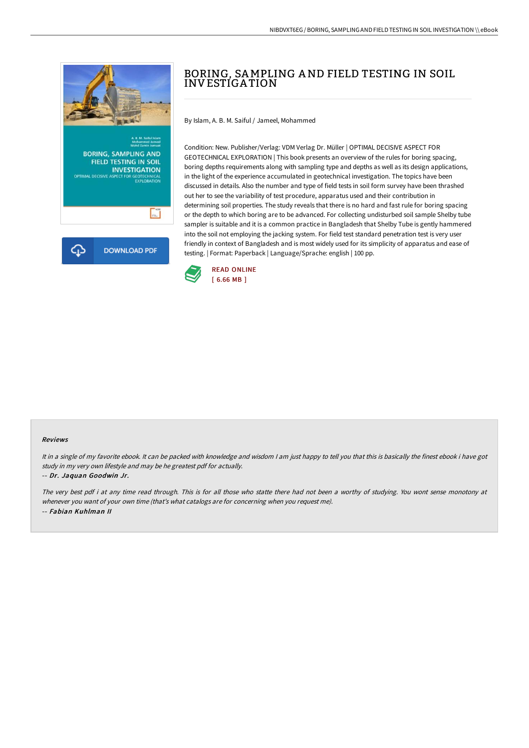

# BORING, SAMPLING AND FIELD TESTING IN SOIL INVESTIGA TION

By Islam, A. B. M. Saiful / Jameel, Mohammed

Condition: New. Publisher/Verlag: VDM Verlag Dr. Müller | OPTIMAL DECISIVE ASPECT FOR GEOTECHNICAL EXPLORATION | This book presents an overview of the rules for boring spacing, boring depths requirements along with sampling type and depths as well as its design applications, in the light of the experience accumulated in geotechnical investigation. The topics have been discussed in details. Also the number and type of field tests in soil form survey have been thrashed out her to see the variability of test procedure, apparatus used and their contribution in determining soil properties. The study reveals that there is no hard and fast rule for boring spacing or the depth to which boring are to be advanced. For collecting undisturbed soil sample Shelby tube sampler is suitable and it is a common practice in Bangladesh that Shelby Tube is gently hammered into the soil not employing the jacking system. For field test standard penetration test is very user friendly in context of Bangladesh and is most widely used for its simplicity of apparatus and ease of testing. | Format: Paperback | Language/Sprache: english | 100 pp.



### Reviews

It in a single of my favorite ebook. It can be packed with knowledge and wisdom I am just happy to tell you that this is basically the finest ebook i have got study in my very own lifestyle and may be he greatest pdf for actually. -- Dr. Jaquan Goodwin Jr.

The very best pdf i at any time read through. This is for all those who statte there had not been <sup>a</sup> worthy of studying. You wont sense monotony at whenever you want of your own time (that's what catalogs are for concerning when you request me). -- Fabian Kuhlman II